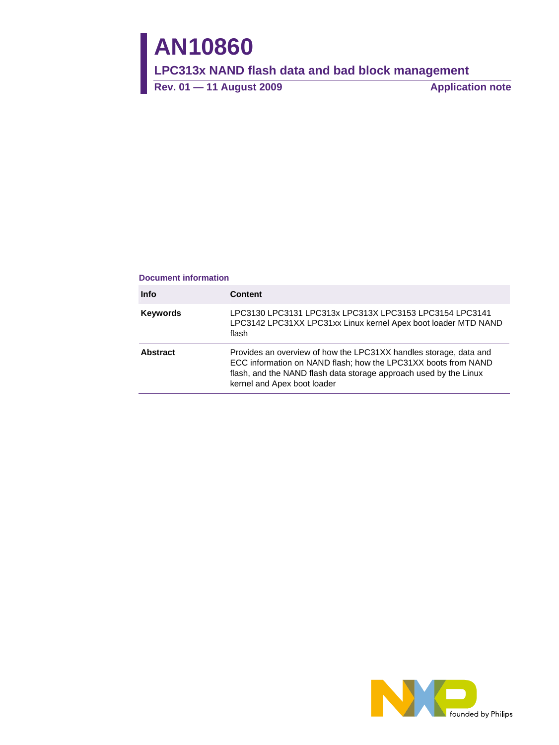# **AN10860**

**LPC313x NAND flash data and bad block management** 

Rev. 01 — 11 August 2009 **Application note** 

#### **Document information**

| <b>Info</b>     | <b>Content</b>                                                                                                                                                                                                                          |
|-----------------|-----------------------------------------------------------------------------------------------------------------------------------------------------------------------------------------------------------------------------------------|
| <b>Keywords</b> | LPC3130 LPC3131 LPC313x LPC313X LPC3153 LPC3154 LPC3141<br>LPC3142 LPC31XX LPC31xx Linux kernel Apex boot loader MTD NAND<br>flash                                                                                                      |
| Abstract        | Provides an overview of how the LPC31XX handles storage, data and<br>ECC information on NAND flash; how the LPC31XX boots from NAND<br>flash, and the NAND flash data storage approach used by the Linux<br>kernel and Apex boot loader |

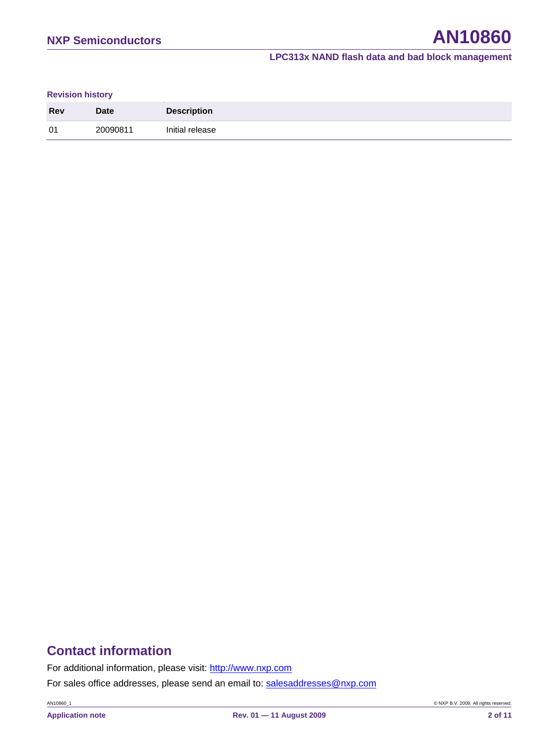#### **Revision history**

| <b>Rev</b> | <b>Date</b> | <b>Description</b> |
|------------|-------------|--------------------|
| 01         | ?0090811    | Initial release    |

# **Contact information**

For additional information, please visit: http://www.nxp.com

For sales office addresses, please send an email to: salesaddresses@nxp.com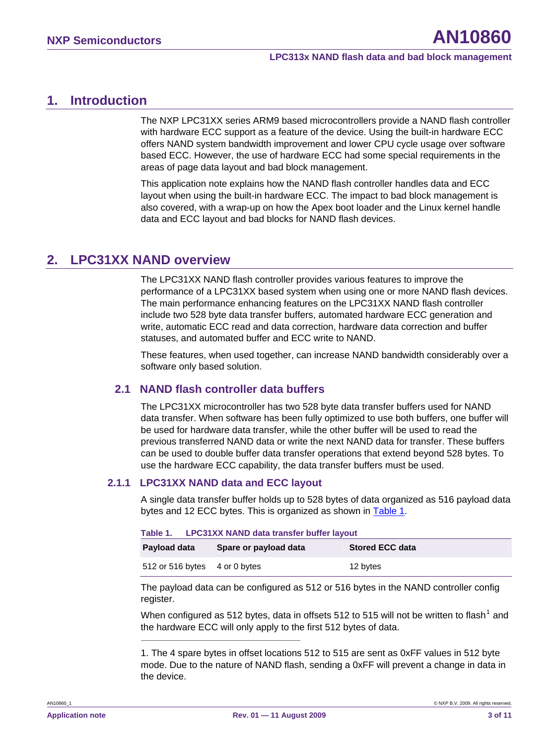# <span id="page-2-2"></span>**1. Introduction**

The NXP LPC31XX series ARM9 based microcontrollers provide a NAND flash controller with hardware ECC support as a feature of the device. Using the built-in hardware ECC offers NAND system bandwidth improvement and lower CPU cycle usage over software based ECC. However, the use of hardware ECC had some special requirements in the areas of page data layout and bad block management.

This application note explains how the NAND flash controller handles data and ECC layout when using the built-in hardware ECC. The impact to bad block management is also covered, with a wrap-up on how the Apex boot loader and the Linux kernel handle data and ECC layout and bad blocks for NAND flash devices.

# **2. LPC31XX NAND overview**

The LPC31XX NAND flash controller provides various features to improve the performance of a LPC31XX based system when using one or more NAND flash devices. The main performance enhancing features on the LPC31XX NAND flash controller include two 528 byte data transfer buffers, automated hardware ECC generation and write, automatic ECC read and data correction, hardware data correction and buffer statuses, and automated buffer and ECC write to NAND.

These features, when used together, can increase NAND bandwidth considerably over a software only based solution.

#### **2.1 NAND flash controller data buffers**

The LPC31XX microcontroller has two 528 byte data transfer buffers used for NAND data transfer. When software has been fully optimized to use both buffers, one buffer will be used for hardware data transfer, while the other buffer will be used to read the previous transferred NAND data or write the next NAND data for transfer. These buffers can be used to double buffer data transfer operations that extend beyond 528 bytes. To use the hardware ECC capability, the data transfer buffers must be used.

#### <span id="page-2-0"></span>**2.1.1 LPC31XX NAND data and ECC layout**

A single data transfer buffer holds up to 528 bytes of data organized as 516 payload data bytes and 12 ECC bytes. This is organized as shown in [Table 1.](#page-2-0)

|              | Table 1. LPC31XX NAND data transfer buffer layout |                        |  |  |  |
|--------------|---------------------------------------------------|------------------------|--|--|--|
| Payload data | Spare or payload data                             | <b>Stored ECC data</b> |  |  |  |
|              | 512 or 516 bytes 4 or 0 bytes                     | 12 bytes               |  |  |  |

The payload data can be configured as 512 or 516 bytes in the NAND controller config register.

When configured as 5[1](#page-2-1)2 bytes, data in offsets 512 to 515 will not be written to flash<sup>1</sup> and the hardware ECC will only apply to the first 512 bytes of data.

<span id="page-2-1"></span>1. The 4 spare bytes in offset locations 512 to 515 are sent as 0xFF values in 512 byte mode. Due to the nature of NAND flash, sending a 0xFF will prevent a change in data in the device.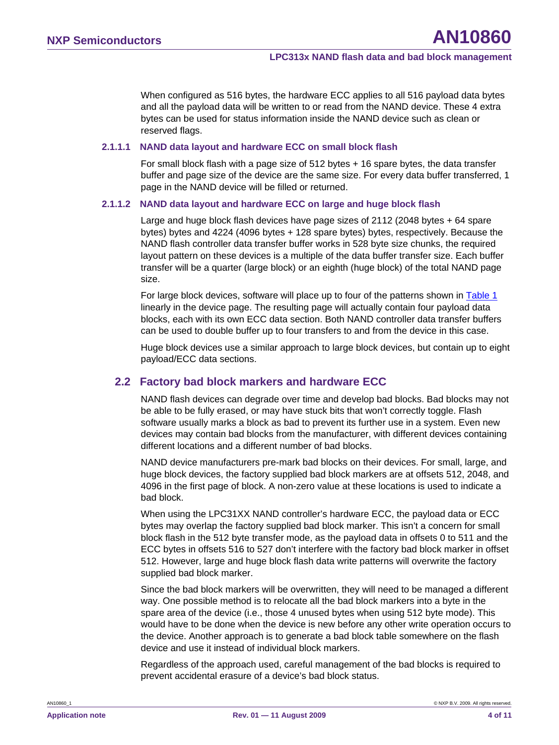<span id="page-3-0"></span>When configured as 516 bytes, the hardware ECC applies to all 516 payload data bytes and all the payload data will be written to or read from the NAND device. These 4 extra bytes can be used for status information inside the NAND device such as clean or reserved flags.

#### **2.1.1.1 NAND data layout and hardware ECC on small block flash**

For small block flash with a page size of 512 bytes + 16 spare bytes, the data transfer buffer and page size of the device are the same size. For every data buffer transferred, 1 page in the NAND device will be filled or returned.

#### **2.1.1.2 NAND data layout and hardware ECC on large and huge block flash**

Large and huge block flash devices have page sizes of 2112 (2048 bytes + 64 spare bytes) bytes and 4224 (4096 bytes + 128 spare bytes) bytes, respectively. Because the NAND flash controller data transfer buffer works in 528 byte size chunks, the required layout pattern on these devices is a multiple of the data buffer transfer size. Each buffer transfer will be a quarter (large block) or an eighth (huge block) of the total NAND page size.

For large block devices, software will place up to four of the patterns shown in [Table 1](#page-2-0) linearly in the device page. The resulting page will actually contain four payload data blocks, each with its own ECC data section. Both NAND controller data transfer buffers can be used to double buffer up to four transfers to and from the device in this case.

Huge block devices use a similar approach to large block devices, but contain up to eight payload/ECC data sections.

#### **2.2 Factory bad block markers and hardware ECC**

NAND flash devices can degrade over time and develop bad blocks. Bad blocks may not be able to be fully erased, or may have stuck bits that won't correctly toggle. Flash software usually marks a block as bad to prevent its further use in a system. Even new devices may contain bad blocks from the manufacturer, with different devices containing different locations and a different number of bad blocks.

NAND device manufacturers pre-mark bad blocks on their devices. For small, large, and huge block devices, the factory supplied bad block markers are at offsets 512, 2048, and 4096 in the first page of block. A non-zero value at these locations is used to indicate a bad block.

When using the LPC31XX NAND controller's hardware ECC, the payload data or ECC bytes may overlap the factory supplied bad block marker. This isn't a concern for small block flash in the 512 byte transfer mode, as the payload data in offsets 0 to 511 and the ECC bytes in offsets 516 to 527 don't interfere with the factory bad block marker in offset 512. However, large and huge block flash data write patterns will overwrite the factory supplied bad block marker.

Since the bad block markers will be overwritten, they will need to be managed a different way. One possible method is to relocate all the bad block markers into a byte in the spare area of the device (i.e., those 4 unused bytes when using 512 byte mode). This would have to be done when the device is new before any other write operation occurs to the device. Another approach is to generate a bad block table somewhere on the flash device and use it instead of individual block markers.

Regardless of the approach used, careful management of the bad blocks is required to prevent accidental erasure of a device's bad block status.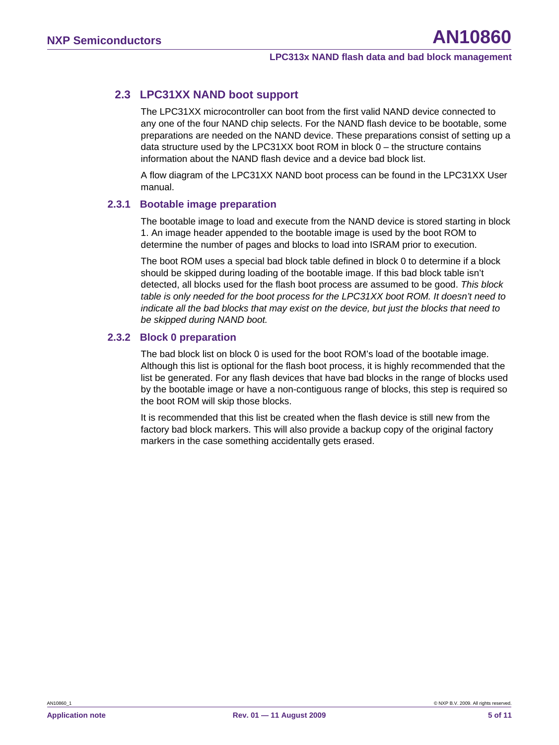# <span id="page-4-0"></span>**2.3 LPC31XX NAND boot support**

The LPC31XX microcontroller can boot from the first valid NAND device connected to any one of the four NAND chip selects. For the NAND flash device to be bootable, some preparations are needed on the NAND device. These preparations consist of setting up a data structure used by the LPC31XX boot ROM in block  $0 -$  the structure contains information about the NAND flash device and a device bad block list.

A flow diagram of the LPC31XX NAND boot process can be found in the LPC31XX User manual.

#### **2.3.1 Bootable image preparation**

The bootable image to load and execute from the NAND device is stored starting in block 1. An image header appended to the bootable image is used by the boot ROM to determine the number of pages and blocks to load into ISRAM prior to execution.

The boot ROM uses a special bad block table defined in block 0 to determine if a block should be skipped during loading of the bootable image. If this bad block table isn't detected, all blocks used for the flash boot process are assumed to be good. *This block table is only needed for the boot process for the LPC31XX boot ROM. It doesn't need to indicate all the bad blocks that may exist on the device, but just the blocks that need to be skipped during NAND boot.* 

#### **2.3.2 Block 0 preparation**

The bad block list on block 0 is used for the boot ROM's load of the bootable image. Although this list is optional for the flash boot process, it is highly recommended that the list be generated. For any flash devices that have bad blocks in the range of blocks used by the bootable image or have a non-contiguous range of blocks, this step is required so the boot ROM will skip those blocks.

It is recommended that this list be created when the flash device is still new from the factory bad block markers. This will also provide a backup copy of the original factory markers in the case something accidentally gets erased.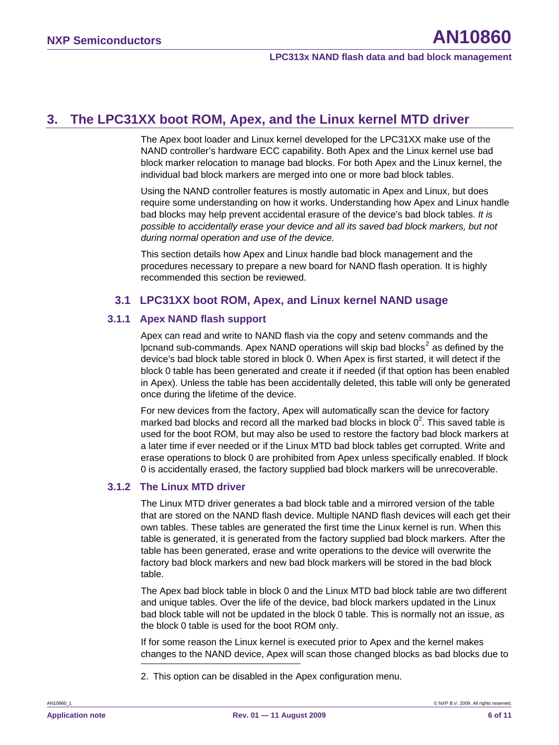# <span id="page-5-2"></span>**3. The LPC31XX boot ROM, Apex, and the Linux kernel MTD driver**

The Apex boot loader and Linux kernel developed for the LPC31XX make use of the NAND controller's hardware ECC capability. Both Apex and the Linux kernel use bad block marker relocation to manage bad blocks. For both Apex and the Linux kernel, the individual bad block markers are merged into one or more bad block tables.

Using the NAND controller features is mostly automatic in Apex and Linux, but does require some understanding on how it works. Understanding how Apex and Linux handle bad blocks may help prevent accidental erasure of the device's bad block tables. *It is possible to accidentally erase your device and all its saved bad block markers, but not during normal operation and use of the device.* 

This section details how Apex and Linux handle bad block management and the procedures necessary to prepare a new board for NAND flash operation. It is highly recommended this section be reviewed.

#### **3.1 LPC31XX boot ROM, Apex, and Linux kernel NAND usage**

#### <span id="page-5-1"></span>**3.1.1 Apex NAND flash support**

Apex can read and write to NAND flash via the copy and setenv commands and the Ipcnand sub-commands. Apex NAND operations will skip bad blocks<sup>[2](#page-5-0)</sup> as defined by the device's bad block table stored in block 0. When Apex is first started, it will detect if the block 0 table has been generated and create it if needed (if that option has been enabled in Apex). Unless the table has been accidentally deleted, this table will only be generated once during the lifetime of the device.

For new devices from the factory, Apex will automatically scan the device for factory marked bad blocks and record all the marked bad blocks in block  $0^2$  $0^2$ . This saved table is used for the boot ROM, but may also be used to restore the factory bad block markers at a later time if ever needed or if the Linux MTD bad block tables get corrupted. Write and erase operations to block 0 are prohibited from Apex unless specifically enabled. If block 0 is accidentally erased, the factory supplied bad block markers will be unrecoverable.

#### **3.1.2 The Linux MTD driver**

The Linux MTD driver generates a bad block table and a mirrored version of the table that are stored on the NAND flash device. Multiple NAND flash devices will each get their own tables. These tables are generated the first time the Linux kernel is run. When this table is generated, it is generated from the factory supplied bad block markers. After the table has been generated, erase and write operations to the device will overwrite the factory bad block markers and new bad block markers will be stored in the bad block table.

The Apex bad block table in block 0 and the Linux MTD bad block table are two different and unique tables. Over the life of the device, bad block markers updated in the Linux bad block table will not be updated in the block 0 table. This is normally not an issue, as the block 0 table is used for the boot ROM only.

If for some reason the Linux kernel is executed prior to Apex and the kernel makes changes to the NAND device, Apex will scan those changed blocks as bad blocks due to

<span id="page-5-0"></span>2. This option can be disabled in the Apex configuration menu.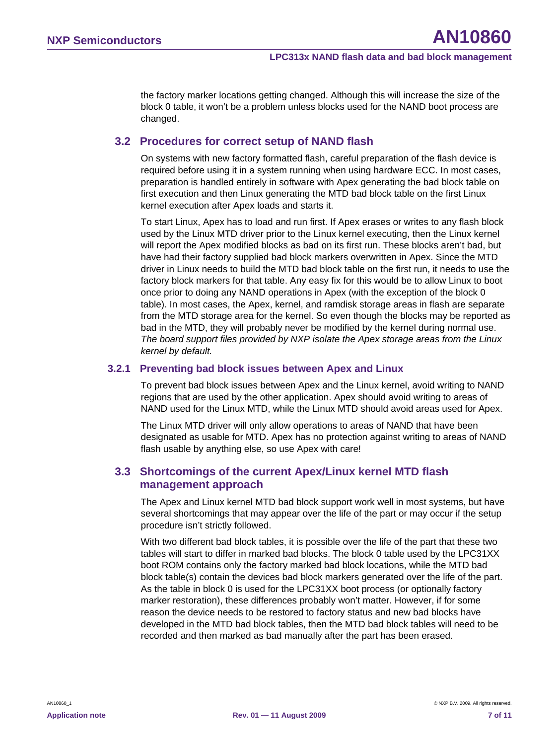<span id="page-6-0"></span>the factory marker locations getting changed. Although this will increase the size of the block 0 table, it won't be a problem unless blocks used for the NAND boot process are changed.

#### **3.2 Procedures for correct setup of NAND flash**

On systems with new factory formatted flash, careful preparation of the flash device is required before using it in a system running when using hardware ECC. In most cases, preparation is handled entirely in software with Apex generating the bad block table on first execution and then Linux generating the MTD bad block table on the first Linux kernel execution after Apex loads and starts it.

To start Linux, Apex has to load and run first. If Apex erases or writes to any flash block used by the Linux MTD driver prior to the Linux kernel executing, then the Linux kernel will report the Apex modified blocks as bad on its first run. These blocks aren't bad, but have had their factory supplied bad block markers overwritten in Apex. Since the MTD driver in Linux needs to build the MTD bad block table on the first run, it needs to use the factory block markers for that table. Any easy fix for this would be to allow Linux to boot once prior to doing any NAND operations in Apex (with the exception of the block 0 table). In most cases, the Apex, kernel, and ramdisk storage areas in flash are separate from the MTD storage area for the kernel. So even though the blocks may be reported as bad in the MTD, they will probably never be modified by the kernel during normal use. *The board support files provided by NXP isolate the Apex storage areas from the Linux kernel by default.*

#### **3.2.1 Preventing bad block issues between Apex and Linux**

To prevent bad block issues between Apex and the Linux kernel, avoid writing to NAND regions that are used by the other application. Apex should avoid writing to areas of NAND used for the Linux MTD, while the Linux MTD should avoid areas used for Apex.

The Linux MTD driver will only allow operations to areas of NAND that have been designated as usable for MTD. Apex has no protection against writing to areas of NAND flash usable by anything else, so use Apex with care!

#### **3.3 Shortcomings of the current Apex/Linux kernel MTD flash management approach**

The Apex and Linux kernel MTD bad block support work well in most systems, but have several shortcomings that may appear over the life of the part or may occur if the setup procedure isn't strictly followed.

With two different bad block tables, it is possible over the life of the part that these two tables will start to differ in marked bad blocks. The block 0 table used by the LPC31XX boot ROM contains only the factory marked bad block locations, while the MTD bad block table(s) contain the devices bad block markers generated over the life of the part. As the table in block 0 is used for the LPC31XX boot process (or optionally factory marker restoration), these differences probably won't matter. However, if for some reason the device needs to be restored to factory status and new bad blocks have developed in the MTD bad block tables, then the MTD bad block tables will need to be recorded and then marked as bad manually after the part has been erased.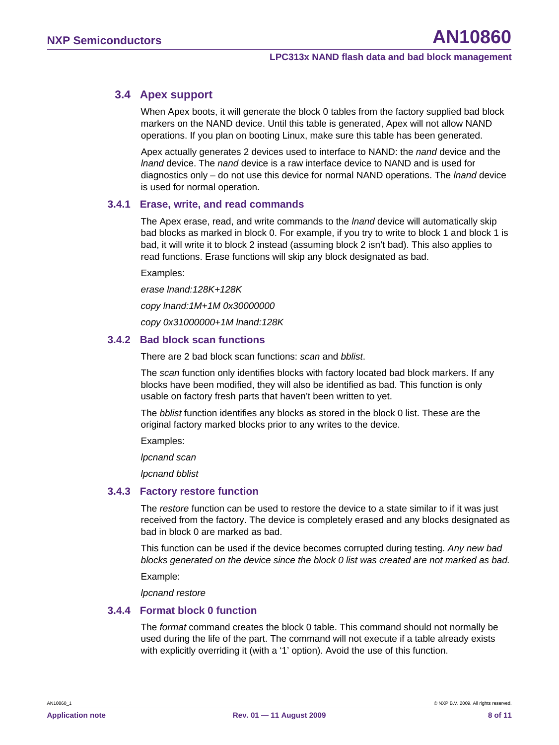# <span id="page-7-0"></span>**3.4 Apex support**

When Apex boots, it will generate the block 0 tables from the factory supplied bad block markers on the NAND device. Until this table is generated, Apex will not allow NAND operations. If you plan on booting Linux, make sure this table has been generated.

Apex actually generates 2 devices used to interface to NAND: the *nand* device and the *lnand* device. The *nand* device is a raw interface device to NAND and is used for diagnostics only – do not use this device for normal NAND operations. The *lnand* device is used for normal operation.

#### **3.4.1 Erase, write, and read commands**

The Apex erase, read, and write commands to the *lnand* device will automatically skip bad blocks as marked in block 0. For example, if you try to write to block 1 and block 1 is bad, it will write it to block 2 instead (assuming block 2 isn't bad). This also applies to read functions. Erase functions will skip any block designated as bad.

Examples:

*erase lnand:128K+128K* 

*copy lnand:1M+1M 0x30000000* 

*copy 0x31000000+1M lnand:128K* 

#### **3.4.2 Bad block scan functions**

There are 2 bad block scan functions: *scan* and *bblist*.

The *scan* function only identifies blocks with factory located bad block markers. If any blocks have been modified, they will also be identified as bad. This function is only usable on factory fresh parts that haven't been written to yet.

The *bblist* function identifies any blocks as stored in the block 0 list. These are the original factory marked blocks prior to any writes to the device.

Examples:

*lpcnand scan*

*lpcnand bblist* 

#### **3.4.3 Factory restore function**

The *restore* function can be used to restore the device to a state similar to if it was just received from the factory. The device is completely erased and any blocks designated as bad in block 0 are marked as bad.

This function can be used if the device becomes corrupted during testing. *Any new bad blocks generated on the device since the block 0 list was created are not marked as bad.*

Example:

*lpcnand restore* 

#### **3.4.4 Format block 0 function**

The *format* command creates the block 0 table. This command should not normally be used during the life of the part. The command will not execute if a table already exists with explicitly overriding it (with a '1' option). Avoid the use of this function.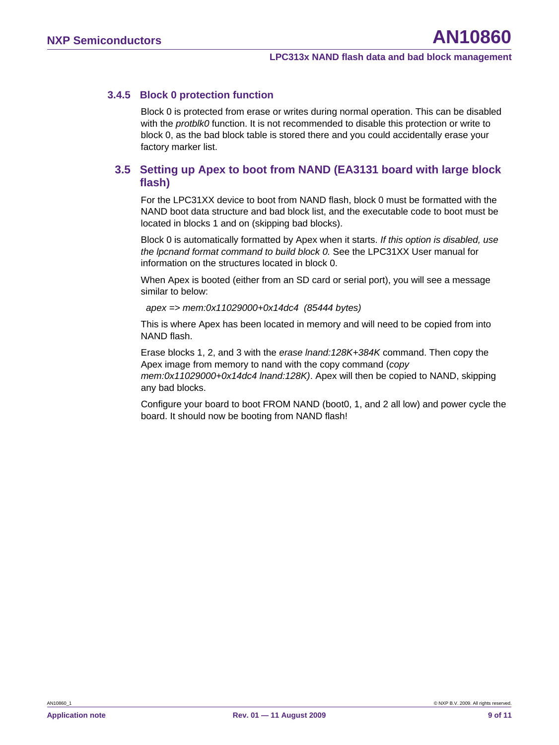#### <span id="page-8-0"></span>**3.4.5 Block 0 protection function**

Block 0 is protected from erase or writes during normal operation. This can be disabled with the *protblk0* function. It is not recommended to disable this protection or write to block 0, as the bad block table is stored there and you could accidentally erase your factory marker list.

## **3.5 Setting up Apex to boot from NAND (EA3131 board with large block flash)**

For the LPC31XX device to boot from NAND flash, block 0 must be formatted with the NAND boot data structure and bad block list, and the executable code to boot must be located in blocks 1 and on (skipping bad blocks).

Block 0 is automatically formatted by Apex when it starts. *If this option is disabled, use the lpcnand format command to build block 0.* See the LPC31XX User manual for information on the structures located in block 0.

When Apex is booted (either from an SD card or serial port), you will see a message similar to below:

 *apex => mem:0x11029000+0x14dc4 (85444 bytes)*

This is where Apex has been located in memory and will need to be copied from into NAND flash.

Erase blocks 1, 2, and 3 with the *erase lnand:128K+384K* command. Then copy the Apex image from memory to nand with the copy command (*copy mem:0x11029000+0x14dc4 lnand:128K)*. Apex will then be copied to NAND, skipping any bad blocks.

Configure your board to boot FROM NAND (boot0, 1, and 2 all low) and power cycle the board. It should now be booting from NAND flash!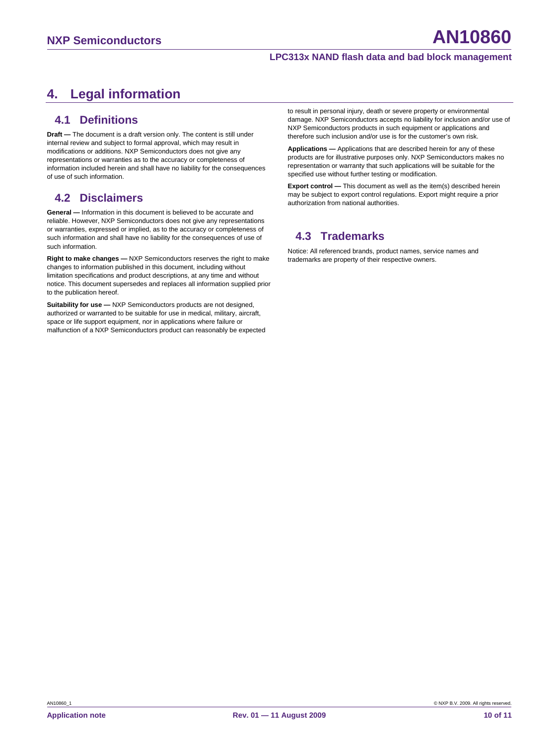# <span id="page-9-0"></span>**4. Legal information**

## **4.1 Definitions**

**Draft —** The document is a draft version only. The content is still under internal review and subject to formal approval, which may result in modifications or additions. NXP Semiconductors does not give any representations or warranties as to the accuracy or completeness of information included herein and shall have no liability for the consequences of use of such information.

## **4.2 Disclaimers**

**General —** Information in this document is believed to be accurate and reliable. However, NXP Semiconductors does not give any representations or warranties, expressed or implied, as to the accuracy or completeness of such information and shall have no liability for the consequences of use of such information.

**Right to make changes —** NXP Semiconductors reserves the right to make changes to information published in this document, including without limitation specifications and product descriptions, at any time and without notice. This document supersedes and replaces all information supplied prior to the publication hereof.

**Suitability for use —** NXP Semiconductors products are not designed, authorized or warranted to be suitable for use in medical, military, aircraft, space or life support equipment, nor in applications where failure or malfunction of a NXP Semiconductors product can reasonably be expected to result in personal injury, death or severe property or environmental damage. NXP Semiconductors accepts no liability for inclusion and/or use of NXP Semiconductors products in such equipment or applications and therefore such inclusion and/or use is for the customer's own risk.

**Applications —** Applications that are described herein for any of these products are for illustrative purposes only. NXP Semiconductors makes no representation or warranty that such applications will be suitable for the specified use without further testing or modification.

**Export control —** This document as well as the item(s) described herein may be subject to export control regulations. Export might require a prior authorization from national authorities.

# **4.3 Trademarks**

Notice: All referenced brands, product names, service names and trademarks are property of their respective owners.